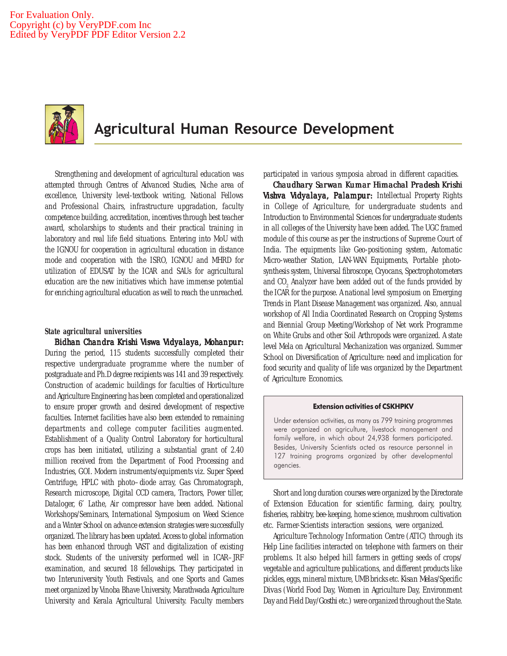

# Agricultural Human Resource Development

Strengthening and development of agricultural education was attempted through Centres of Advanced Studies, Niche area of excellence, University level-textbook writing, National Fellows and Professional Chairs, infrastructure upgradation, faculty competence building, accreditation, incentives through best teacher award, scholarships to students and their practical training in laboratory and real life field situations. Entering into MoU with the IGNOU for cooperation in agricultural education in distance mode and cooperation with the ISRO, IGNOU and MHRD for utilization of EDUSAT by the ICAR and SAUs for agricultural education are the new initiatives which have immense potential for enriching agricultural education as well to reach the unreached.

## **State agricultural universities**

*Bidhan Chandra Krishi Viswa Vidyalaya, Mohanpur: Viswa*  During the period, 115 students successfully completed their respective undergraduate programme where the number of postgraduate and Ph.D degree recipients was 141 and 39 respectively. Construction of academic buildings for faculties of Horticulture and Agriculture Engineering has been completed and operationalized to ensure proper growth and desired development of respective faculties. Internet facilities have also been extended to remaining departments and college computer facilities augmented. Establishment of a Quality Control Laboratory for horticultural crops has been initiated, utilizing a substantial grant of 2.40 million received from the Department of Food Processing and Industries, GOI. Modern instruments/equipments viz. Super Speed Centrifuge, HPLC with photo–diode array, Gas Chromatograph, Research microscope, Digital CCD camera, Tractors, Power tiller, Dataloger, 6′ Lathe, Air compressor have been added. National Workshops/Seminars, International Symposium on Weed Science and a Winter School on advance extension strategies were successfully organized. The library has been updated. Access to global information has been enhanced through VAST and digitalization of existing stock. Students of the university performed well in ICAR–JRF examination, and secured 18 fellowships. They participated in two Interuniversity Youth Festivals, and one Sports and Games meet organized by Vinoba Bhave University, Marathwada Agriculture University and Kerala Agricultural University. Faculty members

participated in various symposia abroad in different capacities.

*Chaudhary Sarwan Kumar Himachal Pradesh Krishi Chaudhary Sarwan Pradesh Vishva Vidyalaya, Palampur:* Intellectual Property Rights in College of Agriculture, for undergraduate students and Introduction to Environmental Sciences for undergraduate students in all colleges of the University have been added. The UGC framed module of this course as per the instructions of Supreme Court of India. The equipments like Geo-positioning system, Automatic Micro-weather Station, LAN-WAN Equipments, Portable photosynthesis system, Universal fibroscope, Cryocans, Spectrophotometers and CO $_{\textrm{\tiny{2}}}$  Analyzer have been added out of the funds provided by the ICAR for the purpose. A national level symposium on Emerging Trends in Plant Disease Management was organized. Also, annual workshop of All India Coordinated Research on Cropping Systems and Biennial Group Meeting/Workshop of Net work Programme on White Grubs and other Soil Arthropods were organized. A state level Mela on Agricultural Mechanization was organized. Summer School on Diversification of Agriculture: need and implication for food security and quality of life was organized by the Department of Agriculture Economics.

#### Extension activities of CSKHPKV

Under extension activities, as many as 799 training programmes were organized on agriculture, livestock management and family welfare, in which about 24,938 farmers participated. Besides, University Scientists acted as resource personnel in 127 training programs organized by other developmental agencies.

Short and long duration courses were organized by the Directorate of Extension Education for scientific farming, dairy, poultry, fisheries, rabbitry, bee-keeping, home science, mushroom cultivation etc. Farmer-Scientists interaction sessions, were organized.

Agriculture Technology Information Centre (ATIC) through its Help Line facilities interacted on telephone with farmers on their problems. It also helped hill farmers in getting seeds of crops/ vegetable and agriculture publications, and different products like pickles, eggs, mineral mixture, UMB bricks etc. *Kisan Melas*/Specific *Divas* (World Food Day, Women in Agriculture Day, Environment Day and Field Day/*Gosthi* etc.) were organized throughout the State.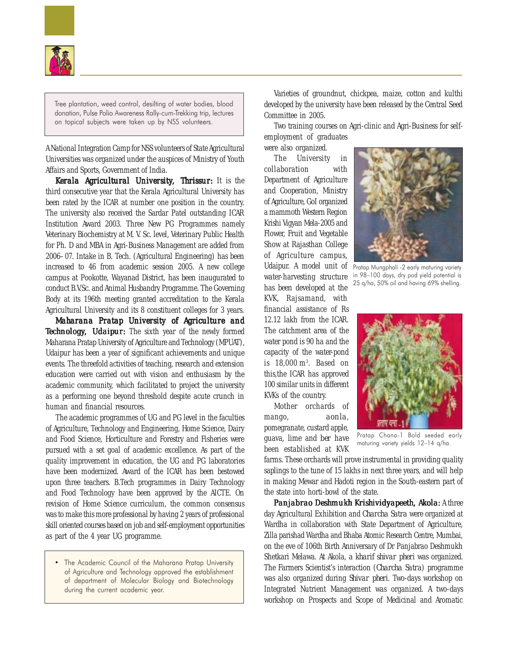

Tree plantation, weed control, desilting of water bodies, blood donation, Pulse Polio Awareness Rally-cum-Trekking trip, lectures on topical subjects were taken up by NSS volunteers.

A National Integration Camp for NSS volunteers of State Agricultural Universities was organized under the auspices of Ministry of Youth Affairs and Sports, Government of India.

Kerala Agricultural University, Thrissur: It is the third consecutive year that the Kerala Agricultural University has been rated by the ICAR at number one position in the country. The university also received the Sardar Patel outstanding ICAR Institution Award 2003. Three New PG Programmes namely Veterinary Biochemistry at M. V. Sc. level, Veterinary Public Health for Ph. D and MBA in Agri-Business Management are added from 2006–07. Intake in B. Tech. (Agricultural Engineering) has been increased to 46 from academic session 2005. A new college campus at Pookotte, Wayanad District, has been inaugurated to conduct B.V.Sc. and Animal Husbandry Programme. The Governing Body at its 196th meeting granted accreditation to the Kerala Agricultural University and its 8 constituent colleges for 3 years.

*Maharana Pratap University of Agriculture and Technology, Udaipur:* The sixth year of the newly formed Maharana Pratap University of Agriculture and Technology (MPUAT), Udaipur has been a year of significant achievements and unique events. The threefold activities of teaching, research and extension education were carried out with vision and enthusiasm by the academic community, which facilitated to project the university as a performing one beyond threshold despite acute crunch in human and financial resources.

The academic programmes of UG and PG level in the faculties of Agriculture, Technology and Engineering, Home Science, Dairy and Food Science, Horticulture and Forestry and Fisheries were pursued with a set goal of academic excellence. As part of the quality improvement in education, the UG and PG laboratories have been modernized. Award of the ICAR has been bestowed upon three teachers. B.Tech programmes in Dairy Technology and Food Technology have been approved by the AICTE. On revision of Home Science curriculum, the common consensus was to make this more professional by having 2 years of professional skill oriented courses based on job and self-employment opportunities as part of the 4 year UG programme.

• The Academic Council of the Maharana Pratap University of Agriculture and Technology approved the establishment of department of Molecular Biology and Biotechnology during the current academic year.

Varieties of groundnut, chickpea, maize, cotton and kulthi developed by the university have been released by the Central Seed Committee in 2005.

Two training courses on Agri-clinic and Agri-Business for selfemployment of graduates

were also organized. The University in collaboration with Department of Agriculture and Cooperation, Ministry of Agriculture, GoI organized a mammoth Western Region Krishi Vigyan Mela-2005 and Flower, Fruit and Vegetable Show at Rajasthan College of Agriculture campus, Udaipur. A model unit of water-harvesting structure has been developed at the KVK, Rajsamand, with financial assistance of Rs 12.12 lakh from the ICAR. The catchment area of the water pond is 90 ha and the capacity of the water-pond is 18,000 m3 . Based on this,the ICAR has approved 100 similar units in different KVKs of the country.

Mother orchards of mango, *aonla*, pomegranate, custard apple, guava, lime and *ber* have been established at KVK



Pratap Mungphali -2 early maturing variety in 98–100 days, dry pod yield potential is 25 q/ha, 50% oil and having 69% shelling.



Pratap Chana-1 Bold seeded early maturing variety yields 12–14 q/ha.

farms. These orchards will prove instrumental in providing quality saplings to the tune of 15 lakhs in next three years, and will help in making Mewar and Hadoti region in the South-eastern part of the state into horti-bowl of the state.

*Panjabrao Deshmukh Krishividyapeeth, Akola: Deshmukh Krishividyapeeth, Akola:* A three day Agricultural Exhibition and *Charcha Satra* were organized at Wardha in collaboration with State Department of Agriculture, Zilla parishad Wardha and Bhaba Atomic Research Centre, Mumbai, on the eve of 106th Birth Anniversary of Dr Panjabrao Deshmukh Shetkari Melawa. At Akola, a *kharif shivar pheri* was organized. The Farmers Scientist's interaction (*Charcha Satra*) programme was also organized during *Shivar pheri*. Two-days workshop on Integrated Nutrient Management was organized. A two-days workshop on Prospects and Scope of Medicinal and Aromatic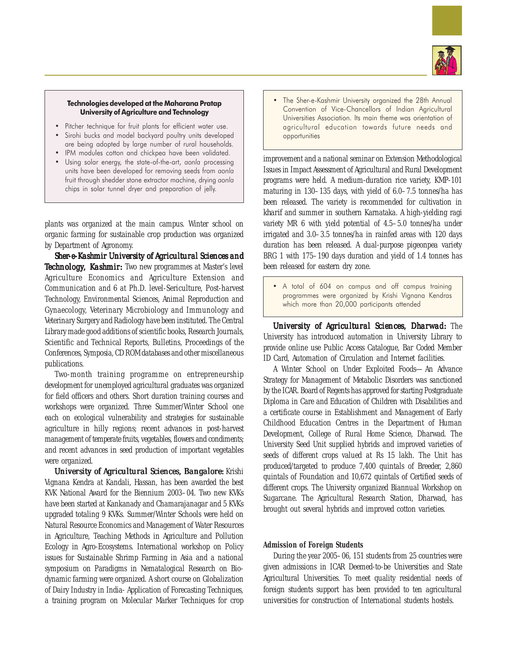

## Technologies developed at the Maharana Pratap University of Agriculture and Technology

- Pitcher technique for fruit plants for efficient water use.
- Sirohi bucks and model backyard poultry units developed are being adopted by large number of rural households.
- IPM modules cotton and chickpea have been validated.
- Using solar energy, the state-of-the-art, aonla processing units have been developed for removing seeds from aonla fruit through shedder stone extractor machine, drying aonla chips in solar tunnel dryer and preparation of jelly.

plants was organized at the main campus. Winter school on organic farming for sustainable crop production was organized by Department of Agronomy.

*Sher-e-Kashmir University of Agricultural Sciences and Technology, Kashmir:* Two new programmes at Master's level Agriculture Economics and Agriculture Extension and Communication and 6 at Ph.D. level-Sericulture, Post-harvest Technology, Environmental Sciences, Animal Reproduction and Gynaecology, Veterinary Microbiology and Immunology and Veterinary Surgery and Radiology have been instituted. The Central Library made good additions of scientific books, Research Journals, Scientific and Technical Reports, Bulletins, Proceedings of the Conferences, Symposia, CD ROM databases and other miscellaneous publications.

Two-month training programme on entrepreneurship development for unemployed agricultural graduates was organized for field officers and others. Short duration training courses and workshops were organized. Three Summer/Winter School one each on ecological vulnerability and strategies for sustainable agriculture in hilly regions; recent advances in post-harvest management of temperate fruits, vegetables, flowers and condiments; and recent advances in seed production of important vegetables were organized.

*University of Agricultural Sciences, Bangalore: Krishi* Vignana Kendra at Kandali, Hassan, has been awarded the best KVK National Award for the Biennium 2003–04. Two new KVKs have been started at Kankanady and Chamarajanagar and 5 KVKs upgraded totaling 9 KVKs. Summer/Winter Schools were held on Natural Resource Economics and Management of Water Resources in Agriculture, Teaching Methods in Agriculture and Pollution Ecology in Agro-Ecosystems. International workshop on Policy issues for Sustainable Shrimp Farming in Asia and a national symposium on Paradigms in Nematalogical Research on Biodynamic farming were organized. A short course on Globalization of Dairy Industry in India- Application of Forecasting Techniques, a training program on Molecular Marker Techniques for crop

• The Sher-e-Kashmir University organized the 28th Annual Convention of Vice-Chancellors of Indian Agricultural Universities Association. Its main theme was orientation of agricultural education towards future needs and opportunities

improvement and a national seminar on Extension Methodological Issues in Impact Assessment of Agricultural and Rural Development programs were held. A medium-duration rice variety, KMP-101 maturing in 130–135 days, with yield of 6.0–7.5 tonnes/ha has been released. The variety is recommended for cultivation in *kharif* and summer in southern Karnataka. A high-yielding ragi variety MR 6 with yield potential of 4.5–5.0 tonnes/ha under irrigated and 3.0–3.5 tonnes/ha in rainfed areas with 120 days duration has been released. A dual-purpose pigeonpea variety BRG 1 with 175–190 days duration and yield of 1.4 tonnes has been released for eastern dry zone.

• A total of 604 on campus and off campus training programmes were organized by Krishi Vignana Kendras which more than 20,000 participants attended

*University of Agricultural Sciences, Dharwad: University of Dharwad:* The University has introduced automation in University Library to provide online use Public Access Catalogue, Bar Coded Member ID Card, Automation of Circulation and Internet facilities.

A Winter School on Under Exploited Foods—An Advance Strategy for Management of Metabolic Disorders was sanctioned by the ICAR. Board of Regents has approved for starting Postgraduate Diploma in Care and Education of Children with Disabilities and a certificate course in Establishment and Management of Early Childhood Education Centres in the Department of Human Development, College of Rural Home Science, Dharwad. The University Seed Unit supplied hybrids and improved varieties of seeds of different crops valued at Rs 15 lakh. The Unit has produced/targeted to produce 7,400 quintals of Breeder, 2,860 quintals of Foundation and 10,672 quintals of Certified seeds of different crops. The University organized Biannual Workshop on Sugarcane. The Agricultural Research Station, Dharwad, has brought out several hybrids and improved cotton varieties.

# **Admission of Foreign Students**

During the year 2005–06, 151 students from 25 countries were given admissions in ICAR Deemed-to-be Universities and State Agricultural Universities. To meet quality residential needs of foreign students support has been provided to ten agricultural universities for construction of International students hostels.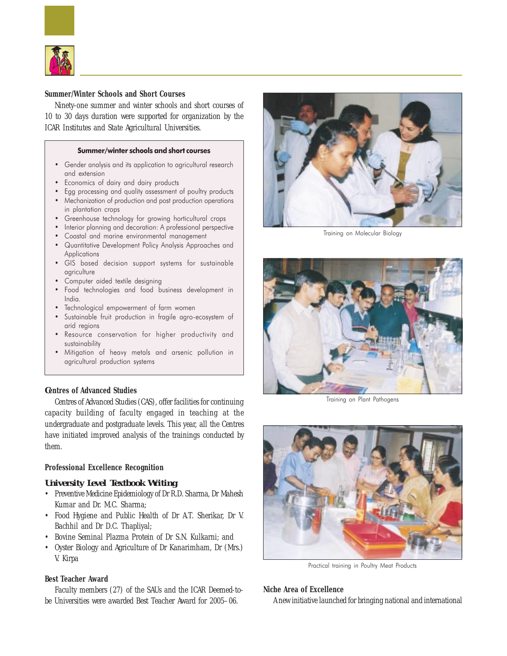

## **Summer/Winter Schools and Short Courses**

Ninety-one summer and winter schools and short courses of 10 to 30 days duration were supported for organization by the ICAR Institutes and State Agricultural Universities.

#### Summer/winter schools and short courses

- Gender analysis and its application to agricultural research and extension
- Economics of dairy and dairy products
- Egg processing and quality assessment of poultry products
- Mechanization of production and post production operations in plantation crops
- Greenhouse technology for growing horticultural crops
- Interior planning and decoration: A professional perspective
- Coastal and marine environmental management
- Quantitative Development Policy Analysis Approaches and Applications
- GIS based decision support systems for sustainable agriculture
- Computer aided textile designing
- Food technologies and food business development in India.
- Technological empowerment of farm women
- Sustainable fruit production in fragile agro-ecosystem of arid regions
- Resource conservation for higher productivity and sustainability
- Mitigation of heavy metals and arsenic pollution in agricultural production systems

# *C***entres of Advanced Studies**

Centres of Advanced Studies (CAS), offer facilities for continuing capacity building of faculty engaged in teaching at the undergraduate and postgraduate levels. This year, all the Centres have initiated improved analysis of the trainings conducted by them.

# **Professional Excellence Recognition**

# *University Level Textbook Writing*

- Preventive Medicine Epidemiology of Dr R.D. Sharma, Dr Mahesh Kumar and Dr. M.C. Sharma;
- Food Hygiene and Public Health of Dr A.T. Sherikar, Dr V. Bachhil and Dr D.C. Thapliyal;
- Bovine Seminal Plazma Protein of Dr S.N. Kulkarni; and
- Oyster Biology and Agriculture of Dr Kanarimham, Dr (Mrs.) V. Kirpa

# **Best Teacher Award**

Faculty members (27) of the SAUs and the ICAR Deemed-tobe Universities were awarded Best Teacher Award for 2005–06.



Training on Molecular Biology



Training on Plant Pathogens



Practical training in Poultry Meat Products

## **Niche Area of Excellence**

A new initiative launched for bringing national and international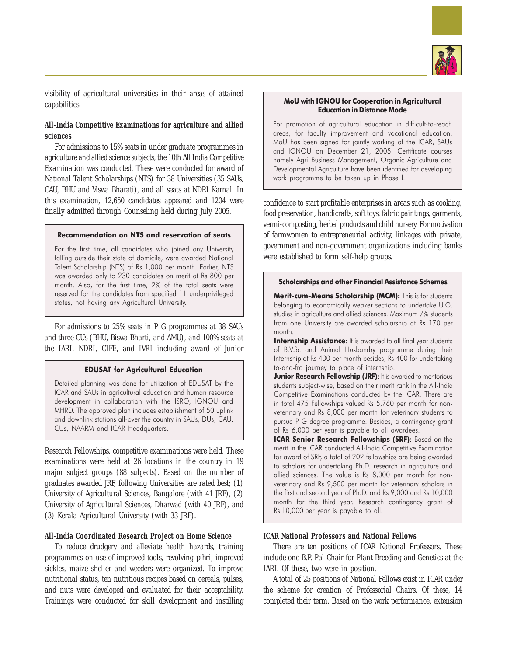![](_page_4_Picture_0.jpeg)

visibility of agricultural universities in their areas of attained capabilities.

# **All-India Competitive Examinations for agriculture and allied sciences**

For admissions to 15% seats in under graduate programmes in agriculture and allied science subjects, the 10th All India Competitive Examination was conducted. These were conducted for award of National Talent Scholarships (NTS) for 38 Universities (35 SAUs, CAU, BHU and Viswa Bharati), and all seats at NDRI Karnal. In this examination, 12,650 candidates appeared and 1204 were finally admitted through Counseling held during July 2005.

## Recommendation on NTS and reservation of seats

For the first time, all candidates who joined any University falling outside their state of domicile, were awarded National Talent Scholarship (NTS) of Rs 1,000 per month. Earlier, NTS was awarded only to 230 candidates on merit at Rs 800 per month. Also, for the first time, 2% of the total seats were reserved for the candidates from specified 11 underprivileged states, not having any Agricultural University.

For admissions to 25% seats in P G programmes at 38 SAUs and three CUs (BHU, Biswa Bharti, and AMU), and 100% seats at the IARI, NDRI, CIFE, and IVRI including award of Junior

#### EDUSAT for Agricultural Education

Detailed planning was done for utilization of EDUSAT by the ICAR and SAUs in agricultural education and human resource development in collaboration with the ISRO, IGNOU and MHRD. The approved plan includes establishment of 50 uplink and downlink stations all-over the country in SAUs, DUs, CAU, CUs, NAARM and ICAR Headquarters.

Research Fellowships, competitive examinations were held. These examinations were held at 26 locations in the country in 19 major subject groups (88 subjects). Based on the number of graduates awarded JRF, following Universities are rated best; (1) University of Agricultural Sciences, Bangalore (with 41 JRF), (2) University of Agricultural Sciences, Dharwad (with 40 JRF), and (3) Kerala Agricultural University (with 33 JRF).

## **All-India Coordinated Research Project on Home Science**

To reduce drudgery and alleviate health hazards, training programmes on use of improved tools, revolving *pihri*, improved sickles, maize sheller and weeders were organized. To improve nutritional status, ten nutritious recipes based on cereals, pulses, and nuts were developed and evaluated for their acceptability. Trainings were conducted for skill development and instilling

## MoU with IGNOU for Cooperation in Agricultural Education in Distance Mode

For promotion of agricultural education in difficult-to-reach areas, for faculty improvement and vocational education, MoU has been signed for jointly working of the ICAR, SAUs and IGNOU on December 21, 2005. Certificate courses namely Agri Business Management, Organic Agriculture and Developmental Agriculture have been identified for developing work programme to be taken up in Phase I.

confidence to start profitable enterprises in areas such as cooking, food preservation, handicrafts, soft toys, fabric paintings, garments, vermi-composting, herbal products and child nursery. For motivation of farmwomen to entrepreneurial activity, linkages with private, government and non-government organizations including banks were established to form self-help groups.

#### Scholarships and other Financial Assistance Schemes

Merit-cum-Means Scholarship (MCM): This is for students belonging to economically weaker sections to undertake U.G. studies in agriculture and allied sciences. Maximum 7% students from one University are awarded scholarship at Rs 170 per month.

Internship Assistance: It is awarded to all final year students of B.V.Sc and Animal Husbandry programme during their Internship at Rs 400 per month besides, Rs 400 for undertaking to-and-fro journey to place of internship.

Junior Research Fellowship (JRF): It is awarded to meritorious students subject-wise, based on their merit rank in the All-India Competitive Examinations conducted by the ICAR. There are in total 475 Fellowships valued Rs 5,760 per month for nonveterinary and Rs 8,000 per month for veterinary students to pursue P G degree programme. Besides, a contingency grant of Rs 6,000 per year is payable to all awardees.

ICAR Senior Research Fellowships (SRF): Based on the merit in the ICAR conducted All-India Competitive Examination for award of SRF, a total of 202 fellowships are being awarded to scholars for undertaking Ph.D. research in agriculture and allied sciences. The value is Rs 8,000 per month for nonveterinary and Rs 9,500 per month for veterinary scholars in the first and second year of Ph.D. and Rs 9,000 and Rs 10,000 month for the third year. Research contingency grant of Rs 10,000 per year is payable to all.

## **ICAR National Professors and National Fellows**

There are ten positions of ICAR National Professors. These include one B.P. Pal Chair for Plant Breeding and Genetics at the IARI. Of these, two were in position.

A total of 25 positions of National Fellows exist in ICAR under the scheme for creation of Professorial Chairs. Of these, 14 completed their term. Based on the work performance, extension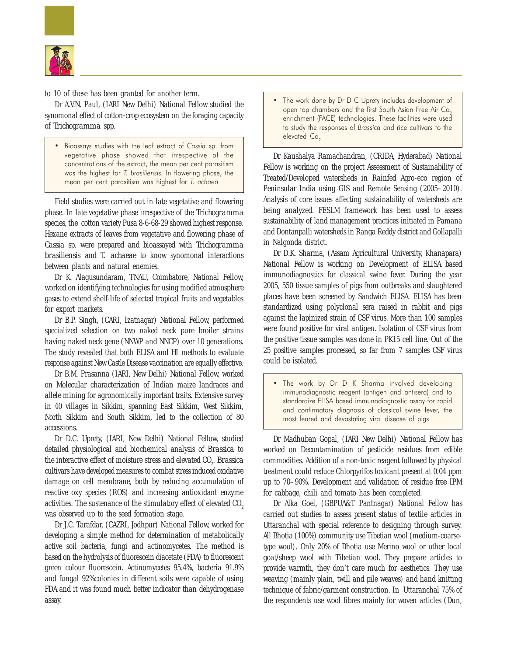![](_page_5_Picture_0.jpeg)

to 10 of these has been granted for another term.

Dr A.V.N. Paul, (IARI New Delhi) National Fellow studied the synomonal effect of cotton-crop ecosystem on the foraging capacity of *Trichogramma* spp.

• Bioassays studies with the leaf extract of Cassia sp. from vegetative phase showed that irrespective of the concentrations of the extract, the mean per cent parasitism was the highest for T. brasiliensis. In flowering phase, the mean per cent parasitism was highest for T. achaea

Field studies were carried out in late vegetative and flowering phase. In late vegetative phase irrespective of the *Trichogramma* species, the cotton variety Pusa 8-6-68-29 showed highest response. Hexane extracts of leaves from vegetative and flowering phase of *Cassia* sp. were prepared and bioassayed with *Trichogramma brasiliensis* and *T. achaeae* to know synomonal interactions between plants and natural enemies.

Dr K. Alagusundaram, TNAU, Coimbatore, National Fellow, worked on identifying technologies for using modified atmosphere gases to extend shelf-life of selected tropical fruits and vegetables for export markets.

Dr B.P. Singh, (CARI, Izatnagar) National Fellow, performed specialized selection on two naked neck pure broiler strains having naked neck gene (NNWP and NNCP) over 10 generations. The study revealed that both ELISA and HI methods to evaluate response against New Castle Disease vaccination are equally effective.

Dr B.M. Prasanna (IARI, New Delhi) National Fellow, worked on Molecular characterization of Indian maize landraces and allele mining for agronomically important traits. Extensive survey in 40 villages in Sikkim, spanning East Sikkim, West Sikkim, North Sikkim and South Sikkim, led to the collection of 80 accessions.

Dr D.C. Uprety, (IARI, New Delhi) National Fellow, studied detailed physiological and biochemical analysis of *Brassica* to the interactive effect of moisture stress and elevated CO<sub>2</sub>. *Brassica* cultivars have developed measures to combat stress induced oxidative damage on cell membrane, both by reducing accumulation of reactive oxy species (ROS) and increasing antioxidant enzyme activities. The sustenance of the stimulatory effect of elevated CO<sub>2</sub> was observed up to the seed formation stage.

Dr J.C. Tarafdar, (CAZRI, Jodhpur) National Fellow, worked for developing a simple method for determination of metabolically active soil bacteria, fungi and actinomycetes. The method is based on the hydrolysis of fluorescein diacetate (FDA) to fluorescent green colour fluorescein. Actinomycetes 95.4%, bacteria 91.9% and fungal 92%colonies in different soils were capable of using FDA and it was found much better indicator than dehydrogenase assay.

The work done by Dr D C Uprety includes development of open top chambers and the first South Asian Free Air Co. enrichment (FACE) technologies. These facilities were used to study the responses of Brassica and rice cultivars to the elevated Co<sub>2</sub>

Dr Kaushalya Ramachandran, (CRIDA, Hyderabad) National Fellow is working on the project Assessment of Sustainability of Treated/Developed watersheds in Rainfed Agro-eco region of Peninsular India using GIS and Remote Sensing (2005–2010). Analysis of core issues affecting sustainability of watersheds are being analyzed. FESLM framework has been used to assess sustainability of land management practices initiated in Pamana and Dontanpalli watersheds in Ranga Reddy district and Gollapalli in Nalgonda district.

Dr D.K. Sharma, (Assam Agricultural University, Khanapara) National Fellow is working on Development of ELISA based immunodiagnostics for classical swine fever. During the year 2005, 550 tissue samples of pigs from outbreaks and slaughtered places have been screened by Sandwich ELISA. ELISA has been standardized using polyclonal sera raised in rabbit and pigs against the lapinized strain of CSF virus. More than 100 samples were found positive for viral antigen. Isolation of CSF virus from the positive tissue samples was done in PK15 cell line. Out of the 25 positive samples processed, so far from 7 samples CSF virus could be isolated.

The work by Dr D K Sharma involved developing immunodiagnostic reagent (antigen and antisera) and to standardize ELISA based immunodiagnostic assay for rapid and confirmatory diagnosis of classical swine fever, the most feared and devastating viral disease of pigs

Dr Madhuban Gopal, (IARI New Delhi) National Fellow has worked on Decontamination of pesticide residues from edible commodities. Addition of a non-toxic reagent followed by physical treatment could reduce Chlorpyrifos toxicant present at 0.04 ppm up to 70–90%. Development and validation of residue free IPM for cabbage, chili and tomato has been completed.

Dr Alka Goel, (GBPUA&T Pantnagar) National Fellow has carried out studies to assess present status of textile articles in Uttaranchal with special reference to designing through survey. All Bhotia (100%) community use Tibetian wool (medium-coarsetype wool). Only 20% of Bhotia use Merino wool or other local goat/sheep wool with Tibetian wool. They prepare articles to provide warmth, they don't care much for aesthetics. They use weaving (mainly plain, twill and pile weaves) and hand knitting technique of fabric/garment construction. In Uttaranchal 75% of the respondents use wool fibres mainly for woven articles (Dun,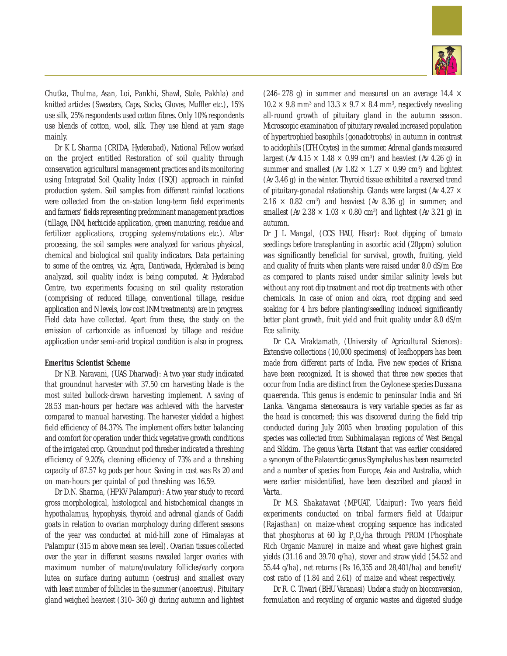![](_page_6_Picture_0.jpeg)

Chutka, Thulma, Asan, Loi, Pankhi, Shawl, Stole, Pakhla) and knitted articles (Sweaters, Caps, Socks, Gloves, Muffler etc.), 15% use silk, 25% respondents used cotton fibres. Only 10% respondents use blends of cotton, wool, silk. They use blend at yarn stage mainly.

Dr K L Sharma (CRIDA, Hyderabad), National Fellow worked on the project entitled Restoration of soil quality through conservation agricultural management practices and its monitoring using Integrated Soil Quality Index (ISQI) approach in rainfed production system. Soil samples from different rainfed locations were collected from the on-station long-term field experiments and farmers' fields representing predominant management practices (tillage, INM, herbicide application, green manuring, residue and fertilizer applications, cropping systems/rotations etc.). After processing, the soil samples were analyzed for various physical, chemical and biological soil quality indicators. Data pertaining to some of the centres, viz. Agra, Dantiwada, Hyderabad is being analyzed, soil quality index is being computed. At Hyderabad Centre, two experiments focusing on soil quality restoration (comprising of reduced tillage, conventional tillage, residue application and N levels, low cost INM treatments) are in progress. Field data have collected. Apart from these, the study on the emission of carbonxide as influenced by tillage and residue application under semi-arid tropical condition is also in progress.

## **Emeritus Scientist Scheme**

Dr N.B. Naravani, (UAS Dharwad): A two year study indicated that groundnut harvester with 37.50 cm harvesting blade is the most suited bullock-drawn harvesting implement. A saving of 28.53 man-hours per hectare was achieved with the harvester compared to manual harvesting. The harvester yielded a highest field efficiency of 84.37%. The implement offers better balancing and comfort for operation under thick vegetative growth conditions of the irrigated crop. Groundnut pod thresher indicated a threshing efficiency of 9.20%, cleaning efficiency of 73% and a threshing capacity of 87.57 kg pods per hour. Saving in cost was Rs 20 and on man-hours per quintal of pod threshing was 16.59.

Dr D.N. Sharma, (HPKV Palampur): A two year study to record gross morphological, histological and histochemical changes in hypothalamus, hypophysis, thyroid and adrenal glands of Gaddi goats in relation to ovarian morphology during different seasons of the year was conducted at mid-hill zone of Himalayas at Palampur (315 m above mean sea level). Ovarian tissues collected over the year in different seasons revealed larger ovaries with maximum number of mature/ovulatory follicles/early corpora lutea on surface during autumn (oestrus) and smallest ovary with least number of follicles in the summer (anoestrus). Pituitary gland weighed heaviest (310–360 g) during autumn and lightest

(246–278 g) in summer and measured on an average 14.4  $\times$  $10.2 \times 9.8$  mm<sup>3</sup> and  $13.3 \times 9.7 \times 8.4$  mm<sup>3</sup>, respectively revealing all-round growth of pituitary gland in the autumn season. Microscopic examination of pituitary revealed increased population of hypertrophied basophils (gonadotrophs) in autumn in contrast to acidophils (LTH Ocytes) in the summer. Adrenal glands measured largest (Av  $4.15 \times 1.48 \times 0.99$  cm<sup>3</sup>) and heaviest (Av  $4.26$  g) in summer and smallest (Av  $1.82 \times 1.27 \times 0.99$  cm<sup>3</sup>) and lightest (Av 3.46 g) in the winter. Thyroid tissue exhibited a reversed trend of pituitary-gonadal relationship. Glands were largest (Av 4.27  $\times$  $2.16 \times 0.82$  cm<sup>3</sup>) and heaviest (Av 8.36 g) in summer; and smallest (Av 2.38  $\times$  1.03  $\times$  0.80 cm<sup>3</sup>) and lightest (Av 3.21 g) in autumn.

Dr J L Mangal, (CCS HAU, Hisar): Root dipping of tomato seedlings before transplanting in ascorbic acid (20ppm) solution was significantly beneficial for survival, growth, fruiting, yield and quality of fruits when plants were raised under 8.0 dS/m Ece as compared to plants raised under similar salinity levels but without any root dip treatment and root dip treatments with other chemicals. In case of onion and okra, root dipping and seed soaking for 4 hrs before planting/seedling induced significantly better plant growth, fruit yield and fruit quality under 8.0 dS/m Ece salinity.

Dr C.A. Viraktamath, (University of Agricultural Sciences): Extensive collections (10,000 specimens) of leafhoppers has been made from different parts of India. Five new species of *Krisna* have been recognized. It is showed that three new species that occur from India are distinct from the Ceylonese species *Dussana quaerenda*. This genus is endemic to peninsular India and Sri Lanka. *Vangama steneosaura* is very variable species as far as the head is concerned; this was discovered during the field trip conducted during July 2005 when breeding population of this species was collected from Subhimalayan regions of West Bengal and Sikkim. The genus *Varta* Distant that was earlier considered a synonym of the Palaearctic genus *Stymphalus* has been resurrected and a number of species from Europe, Asia and Australia, which were earlier misidentified, have been described and placed in *Varta*.

Dr M.S. Shakatawat (MPUAT, Udaipur): Two years field experiments conducted on tribal farmers field at Udaipur (Rajasthan) on maize-wheat cropping sequence has indicated that phosphorus at 60 kg  $P_2O_5/ha$  through PROM (Phosphate Rich Organic Manure) in maize and wheat gave highest grain yields (31.16 and 39.70 q/ha), stover and straw yield (54.52 and 55.44 q/ha), net returns (Rs 16,355 and 28,401/ha) and benefit/ cost ratio of (1.84 and 2.61) of maize and wheat respectively.

Dr R. C. Tiwari (BHU Varanasi) Under a study on bioconversion, formulation and recycling of organic wastes and digested sludge